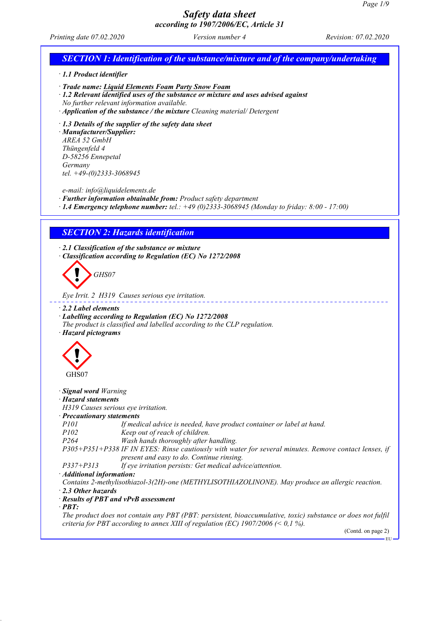*Printing date 07.02.2020 Version number 4 Revision: 07.02.2020*

# *SECTION 1: Identification of the substance/mixture and of the company/undertaking · 1.1 Product identifier · Trade name: Liquid Elements Foam Party Snow Foam · 1.2 Relevant identified uses of the substance or mixture and uses advised against No further relevant information available. · Application of the substance / the mixture Cleaning material/ Detergent · 1.3 Details of the supplier of the safety data sheet · Manufacturer/Supplier: AREA 52 GmbH Thüngenfeld 4 D-58256 Ennepetal Germany tel. +49-(0)2333-3068945 e-mail: info@liquidelements.de · Further information obtainable from: Product safety department · 1.4 Emergency telephone number: tel.: +49 (0)2333-3068945 (Monday to friday: 8:00 - 17:00) SECTION 2: Hazards identification · 2.1 Classification of the substance or mixture · Classification according to Regulation (EC) No 1272/2008 GHS07 Eye Irrit. 2 H319 Causes serious eye irritation. · 2.2 Label elements · Labelling according to Regulation (EC) No 1272/2008 The product is classified and labelled according to the CLP regulation. · Hazard pictograms* GHS07 *· Signal word Warning · Hazard statements H319 Causes serious eye irritation. · Precautionary statements P101 If medical advice is needed, have product container or label at hand. P102 Keep out of reach of children. P264 Wash hands thoroughly after handling. P305+P351+P338 IF IN EYES: Rinse cautiously with water for several minutes. Remove contact lenses, if present and easy to do. Continue rinsing. P337+P313 If eye irritation persists: Get medical advice/attention. · Additional information: Contains 2-methylisothiazol-3(2H)-one (METHYLISOTHIAZOLINONE). May produce an allergic reaction. · 2.3 Other hazards · Results of PBT and vPvB assessment · PBT: The product does not contain any PBT (PBT: persistent, bioaccumulative, toxic) substance or does not fulfil criteria for PBT according to annex XIII of regulation (EC) 1907/2006 (< 0,1 %).* (Contd. on page 2) EU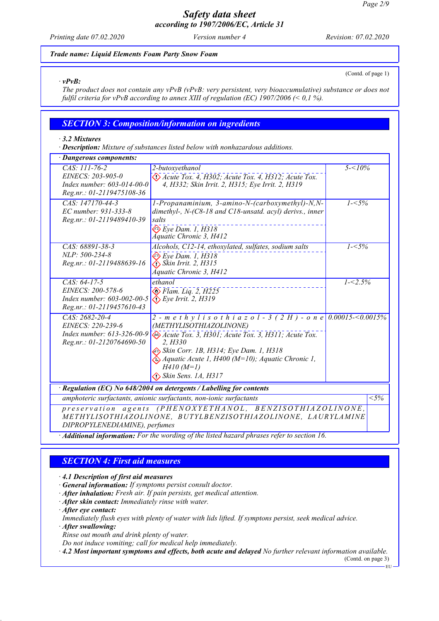*Printing date 07.02.2020 Version number 4 Revision: 07.02.2020*

#### *Trade name: Liquid Elements Foam Party Snow Foam*

(Contd. of page 1)

#### *· vPvB:*

*The product does not contain any vPvB (vPvB: very persistent, very bioaccumulative) substance or does not fulfil criteria for vPvB according to annex XIII of regulation (EC) 1907/2006 (< 0,1 %).*

#### *SECTION 3: Composition/information on ingredients*

#### *· 3.2 Mixtures*

*· Description: Mixture of substances listed below with nonhazardous additions.*

| · Dangerous components:                                                                        |                                                                                                                                                                                                                                                                                                                                       |             |                   |
|------------------------------------------------------------------------------------------------|---------------------------------------------------------------------------------------------------------------------------------------------------------------------------------------------------------------------------------------------------------------------------------------------------------------------------------------|-------------|-------------------|
| CAS: 111-76-2<br>EINECS: 203-905-0<br>Index number: 603-014-00-0<br>Reg.nr.: 01-2119475108-36  | 2-butoxyethanol<br>$\langle \cdot \rangle$ Acute Tox. 4, H302; Acute Tox. 4, H312; Acute Tox.<br>4, H332; Skin Irrit. 2, H315; Eye Irrit. 2, H319                                                                                                                                                                                     | $5 - 10\%$  |                   |
| CAS: 147170-44-3<br>EC number: 931-333-8<br>Reg.nr.: 01-2119489410-39                          | 1-Propanaminium, 3-amino-N-(carboxymethyl)-N,N-<br>dimethyl-, $N-(C8-18$ and $C18$ -unsatd. acyl) derivs., inner<br>salts<br>$\leftrightarrow$ Eye Dam. 1, H318<br><b>Áquatic Chronic 3, H412</b>                                                                                                                                     | $1 - 5\%$   |                   |
| CAS: 68891-38-3<br>$NLP: 500-234-8$<br>Reg.nr.: 01-2119488639-16                               | Alcohols, C12-14, ethoxylated, sulfates, sodium salts<br>$\diamondsuit$ Eye Dam. 1, H318<br>$\bigotimes$ Skin Irrit. 2, H315<br>Áquatic Chronic 3, H412                                                                                                                                                                               | $1 - 5\%$   |                   |
| $CAS: 64-17-5$<br>EINECS: 200-578-6<br>Index number: 603-002-00-5<br>Reg.nr.: 01-2119457610-43 | ethanol<br>$\bigotimes$ Flam. Liq. 2, H225<br>$\bigotimes E$ ye Irrit. 2, H319                                                                                                                                                                                                                                                        | $1 - 2.5\%$ |                   |
| CAS: 2682-20-4<br>EINECS: 220-239-6<br>Index number: 613-326-00-9<br>Reg.nr.: 01-2120764690-50 | $2 - m e t h y l i s o t h i a z o l - 3 (2 H) - o n e   0.00015 - 0.0015\%$<br>(METHYLISOTHIAZOLINONE)<br>Acute Tox. 3, H301; Acute Tox. 3, H311; Acute Tox.<br>2. H330<br>Skin Corr. 1B, H314; Eye Dam. 1, H318<br>$\bigotimes$ Aquatic Acute 1, H400 (M=10); Aquatic Chronic 1,<br>$H410(M=1)$<br>$\bigotimes$ Skin Sens. 1A, H317 |             |                   |
|                                                                                                | · Regulation (EC) No 648/2004 on detergents / Labelling for contents                                                                                                                                                                                                                                                                  |             |                   |
|                                                                                                | amphoteric surfactants, anionic surfactants, non-ionic surfactants                                                                                                                                                                                                                                                                    |             | $\overline{<}5\%$ |
| DIPROPYLENEDIAMINE), perfumes                                                                  | preservation agents (PHENOXYETHANOL, BENZISOTHIAZOLINONE,<br>METHYLISOTHIAZOLINONE, BUTYLBENZISOTHIAZOLINONE, LAURYLAMINE                                                                                                                                                                                                             |             |                   |
|                                                                                                | $\cdot$ <b>Additional information:</b> For the wording of the listed hazard phrases refer to section 16.                                                                                                                                                                                                                              |             |                   |

## *SECTION 4: First aid measures*

*· 4.1 Description of first aid measures*

- *· General information: If symptoms persist consult doctor.*
- *· After inhalation: Fresh air. If pain persists, get medical attention.*
- *· After skin contact: Immediately rinse with water.*
- *· After eye contact:*
- *Immediately flush eyes with plenty of water with lids lifted. If symptons persist, seek medical advice.*
- *· After swallowing:*
- *Rinse out mouth and drink plenty of water.*
- *Do not induce vomiting; call for medical help immediately.*

*· 4.2 Most important symptoms and effects, both acute and delayed No further relevant information available.*

(Contd. on page 3) EU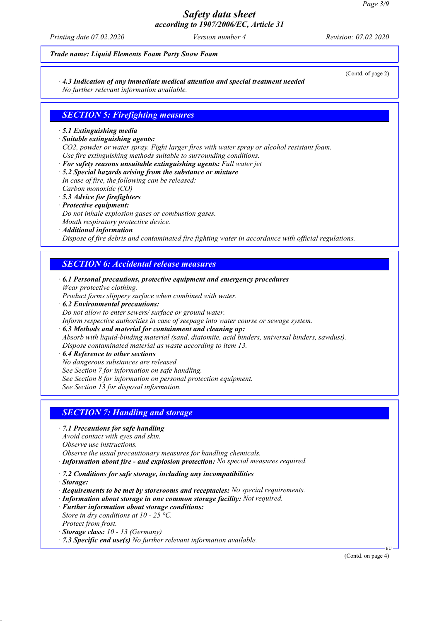*Printing date 07.02.2020 Version number 4 Revision: 07.02.2020*

(Contd. of page 2)

#### *Trade name: Liquid Elements Foam Party Snow Foam*

*· 4.3 Indication of any immediate medical attention and special treatment needed No further relevant information available.*

### *SECTION 5: Firefighting measures*

#### *· 5.1 Extinguishing media*

*· Suitable extinguishing agents:*

*CO2, powder or water spray. Fight larger fires with water spray or alcohol resistant foam. Use fire extinguishing methods suitable to surrounding conditions.*

- *· For safety reasons unsuitable extinguishing agents: Full water jet*
- *· 5.2 Special hazards arising from the substance or mixture*

*In case of fire, the following can be released:*

- *Carbon monoxide (CO)*
- *· 5.3 Advice for firefighters*
- *· Protective equipment:*
- *Do not inhale explosion gases or combustion gases.*
- *Mouth respiratory protective device.*
- *· Additional information*

*Dispose of fire debris and contaminated fire fighting water in accordance with official regulations.*

#### *SECTION 6: Accidental release measures*

*· 6.1 Personal precautions, protective equipment and emergency procedures Wear protective clothing. Product forms slippery surface when combined with water. · 6.2 Environmental precautions: Do not allow to enter sewers/ surface or ground water. Inform respective authorities in case of seepage into water course or sewage system. · 6.3 Methods and material for containment and cleaning up:*

*Absorb with liquid-binding material (sand, diatomite, acid binders, universal binders, sawdust). Dispose contaminated material as waste according to item 13.*

*· 6.4 Reference to other sections*

*No dangerous substances are released.*

*See Section 7 for information on safe handling.*

*See Section 8 for information on personal protection equipment.*

*See Section 13 for disposal information.*

## *SECTION 7: Handling and storage*

*· 7.1 Precautions for safe handling*

*Avoid contact with eyes and skin.*

*Observe use instructions.*

*Observe the usual precautionary measures for handling chemicals.*

- *· Information about fire and explosion protection: No special measures required.*
- *· 7.2 Conditions for safe storage, including any incompatibilities*
- *· Storage:*
- *· Requirements to be met by storerooms and receptacles: No special requirements.*
- *· Information about storage in one common storage facility: Not required.*
- *· Further information about storage conditions: Store in dry conditions at 10 - 25 °C. Protect from frost.*
- *· Storage class: 10 13 (Germany)*
- *· 7.3 Specific end use(s) No further relevant information available.*

(Contd. on page 4)

EU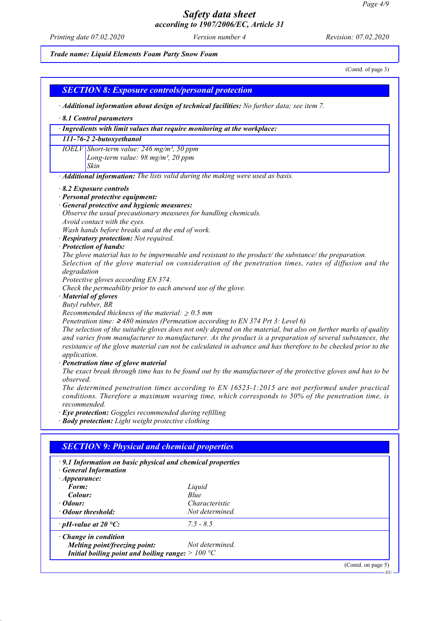*Printing date 07.02.2020 Version number 4 Revision: 07.02.2020*

## *Trade name: Liquid Elements Foam Party Snow Foam*

(Contd. of page 3)

|                                                                                           | $\cdot$ Additional information about design of technical facilities: No further data; see item 7.                                                                                                     |
|-------------------------------------------------------------------------------------------|-------------------------------------------------------------------------------------------------------------------------------------------------------------------------------------------------------|
| 8.1 Control parameters                                                                    |                                                                                                                                                                                                       |
|                                                                                           | · Ingredients with limit values that require monitoring at the workplace:                                                                                                                             |
| 111-76-2 2-butoxyethanol                                                                  |                                                                                                                                                                                                       |
| $IOELV$ Short-term value: 246 mg/m <sup>3</sup> , 50 ppm                                  |                                                                                                                                                                                                       |
| Long-term value: 98 mg/m <sup>3</sup> , 20 ppm                                            |                                                                                                                                                                                                       |
| Skin                                                                                      |                                                                                                                                                                                                       |
|                                                                                           | · Additional information: The lists valid during the making were used as basis.                                                                                                                       |
| 8.2 Exposure controls                                                                     |                                                                                                                                                                                                       |
| · Personal protective equipment:                                                          |                                                                                                                                                                                                       |
| · General protective and hygienic measures:                                               |                                                                                                                                                                                                       |
| Observe the usual precautionary measures for handling chemicals.                          |                                                                                                                                                                                                       |
| Avoid contact with the eyes.                                                              |                                                                                                                                                                                                       |
| Wash hands before breaks and at the end of work.                                          |                                                                                                                                                                                                       |
| · Respiratory protection: Not required.<br>· Protection of hands:                         |                                                                                                                                                                                                       |
|                                                                                           | The glove material has to be impermeable and resistant to the product/the substance/the preparation.                                                                                                  |
|                                                                                           | Selection of the glove material on consideration of the penetration times, rates of diffusion and the                                                                                                 |
| degradation                                                                               |                                                                                                                                                                                                       |
| Protective gloves according EN 374.                                                       |                                                                                                                                                                                                       |
| Check the permeability prior to each anewed use of the glove.                             |                                                                                                                                                                                                       |
| · Material of gloves                                                                      |                                                                                                                                                                                                       |
| Butyl rubber, BR                                                                          |                                                                                                                                                                                                       |
| Recommended thickness of the material: $\geq 0.5$ mm                                      | Penetration time: $\geq 480$ minutes (Permeation according to EN 374 Prt 3: Level 6)                                                                                                                  |
|                                                                                           | The selection of the suitable gloves does not only depend on the material, but also on further marks of quality                                                                                       |
|                                                                                           | and varies from manufacturer to manufacturer. As the product is a preparation of several substances, the                                                                                              |
|                                                                                           | resistance of the glove material can not be calculated in advance and has therefore to be checked prior to the                                                                                        |
| application.                                                                              |                                                                                                                                                                                                       |
| · Penetration time of glove material                                                      |                                                                                                                                                                                                       |
|                                                                                           | The exact break through time has to be found out by the manufacturer of the protective gloves and has to be                                                                                           |
| observed.                                                                                 |                                                                                                                                                                                                       |
|                                                                                           | The determined penetration times according to EN 16523-1:2015 are not performed under practical<br>conditions. Therefore a maximum wearing time, which corresponds to 50% of the penetration time, is |
| recommended.                                                                              |                                                                                                                                                                                                       |
| · Eye protection: Goggles recommended during refilling                                    |                                                                                                                                                                                                       |
| · Body protection: Light weight protective clothing                                       |                                                                                                                                                                                                       |
|                                                                                           |                                                                                                                                                                                                       |
| <b>SECTION 9: Physical and chemical properties</b>                                        |                                                                                                                                                                                                       |
|                                                                                           |                                                                                                                                                                                                       |
| · 9.1 Information on basic physical and chemical properties<br><b>General Information</b> |                                                                                                                                                                                                       |
| $\cdot$ Appearance:                                                                       |                                                                                                                                                                                                       |
|                                                                                           | Liquid                                                                                                                                                                                                |
| Form:                                                                                     | Blue                                                                                                                                                                                                  |
| Colour:                                                                                   | Characteristic                                                                                                                                                                                        |
|                                                                                           |                                                                                                                                                                                                       |
|                                                                                           | Not determined.                                                                                                                                                                                       |
| · Odour:<br>• Odour threshold:<br>$\cdot$ pH-value at 20 °C:                              | $7.5 - 8.5$                                                                                                                                                                                           |
|                                                                                           |                                                                                                                                                                                                       |
| · Change in condition<br>Melting point/freezing point:                                    | Not determined.                                                                                                                                                                                       |

(Contd. on page 5) EU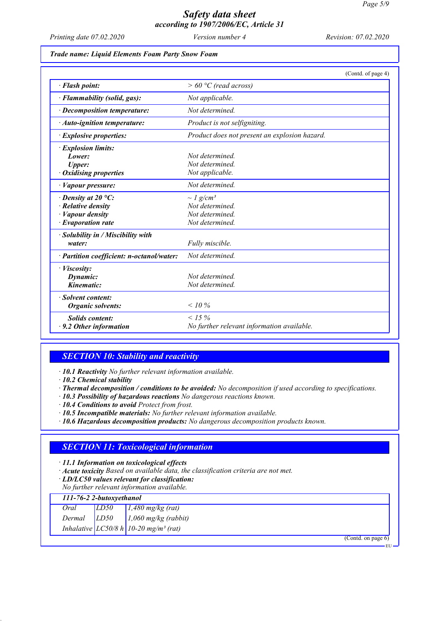EU

# *Safety data sheet according to 1907/2006/EC, Article 31*

*Printing date 07.02.2020 Version number 4 Revision: 07.02.2020*

#### *Trade name: Liquid Elements Foam Party Snow Foam*

|                                                                                                                    | (Contd. of page 4)                                                                  |
|--------------------------------------------------------------------------------------------------------------------|-------------------------------------------------------------------------------------|
| · Flash point:                                                                                                     | $> 60 °C$ (read across)                                                             |
| · Flammability (solid, gas):                                                                                       | Not applicable.                                                                     |
| $\cdot$ Decomposition temperature:                                                                                 | Not determined.                                                                     |
| $\cdot$ Auto-ignition temperature:                                                                                 | Product is not selfigniting.                                                        |
| · Explosive properties:                                                                                            | Product does not present an explosion hazard.                                       |
| · Explosion limits:<br>Lower:<br>Upper:<br>$\cdot$ Oxidising properties                                            | Not determined.<br>Not determined<br>Not applicable.                                |
| $\cdot$ <i>Vapour pressure:</i>                                                                                    | Not determined.                                                                     |
| $\cdot$ Density at 20 °C:<br>$\cdot$ Relative density<br>$\cdot$ <i>Vapour density</i><br>$\cdot$ Evaporation rate | $\sim$ 1 g/cm <sup>3</sup><br>Not determined.<br>Not determined.<br>Not determined. |
| $\cdot$ Solubility in / Miscibility with<br>water:                                                                 | Fully miscible.                                                                     |
| · Partition coefficient: n-octanol/water:                                                                          | Not determined.                                                                     |
| · Viscosity:<br>Dynamic:<br>Kinematic:                                                                             | Not determined<br>Not determined.                                                   |
| · Solvent content:<br><b>Organic solvents:</b>                                                                     | $<$ 10 %                                                                            |
| <b>Solids content:</b><br>$\cdot$ 9.2 Other information                                                            | $< 15\%$<br>No further relevant information available.                              |

## *SECTION 10: Stability and reactivity*

*· 10.1 Reactivity No further relevant information available.*

*· 10.2 Chemical stability*

*· Thermal decomposition / conditions to be avoided: No decomposition if used according to specifications.*

- *· 10.3 Possibility of hazardous reactions No dangerous reactions known.*
- *· 10.4 Conditions to avoid Protect from frost.*
- *· 10.5 Incompatible materials: No further relevant information available.*
- *· 10.6 Hazardous decomposition products: No dangerous decomposition products known.*

## *SECTION 11: Toxicological information*

*· 11.1 Information on toxicological effects*

- *· Acute toxicity Based on available data, the classification criteria are not met.*
- *· LD/LC50 values relevant for classification:*
- *No further relevant information available.*

| 111-76-2 2-butoxyethanol |      |                                            |
|--------------------------|------|--------------------------------------------|
| Oral                     | LD50 | $1,480$ mg/kg (rat)                        |
| Dermal                   | LD50 | $1,060$ mg/kg (rabbit)                     |
|                          |      | Inhalative $ LC50/8 h  10-20 mg/m^3 (rat)$ |
|                          |      | (Contd. on page 6)                         |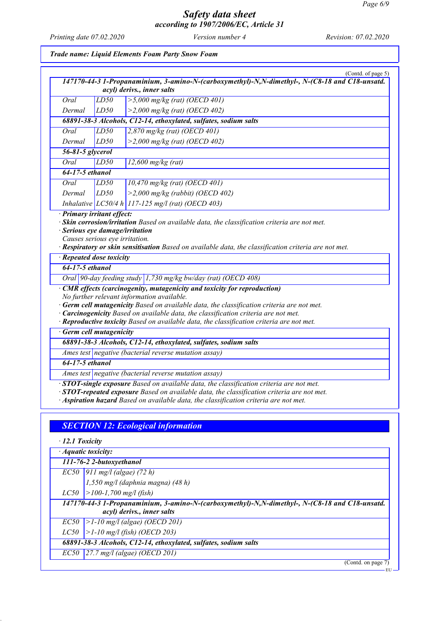*Printing date 07.02.2020 Version number 4 Revision: 07.02.2020*

#### *Trade name: Liquid Elements Foam Party Snow Foam*

| acyl) derivs., inner salts<br>$>5,000$ mg/kg (rat) (OECD 401)<br>LD50<br>Oral<br>LD50<br>$>2,000$ mg/kg (rat) (OECD 402)<br>Dermal<br>68891-38-3 Alcohols, C12-14, ethoxylated, sulfates, sodium salts<br>2,870 mg/kg (rat) (OECD 401)<br>Oral<br>LD50<br>Dermal<br>LD50<br>$>2,000$ mg/kg (rat) (OECD 402)<br>56-81-5 glycerol<br>Oral<br>LD50<br>$12,600$ mg/kg (rat)<br>64-17-5 ethanol<br>10,470 mg/kg (rat) (OECD 401)<br>LD50<br>Oral<br>Dermal<br>LD50<br>$>$ 2,000 mg/kg (rabbit) (OECD 402)<br>Inhalative $ LCS0/4 h $ 117-125 mg/l (rat) (OECD 403)<br>· Primary irritant effect:<br>· Skin corrosion/irritation Based on available data, the classification criteria are not met.<br>· Serious eye damage/irritation<br>Causes serious eye irritation.<br>Respiratory or skin sensitisation Based on available data, the classification criteria are not met.<br>· Repeated dose toxicity<br>$64-17-5$ ethanol<br>Oral 90-day feeding study 1,730 mg/kg bw/day (rat) (OECD 408)<br>$\cdot$ CMR effects (carcinogenity, mutagenicity and toxicity for reproduction)<br>No further relevant information available.<br>Germ cell mutagenicity Based on available data, the classification criteria are not met.<br>Carcinogenicity Based on available data, the classification criteria are not met.<br>· Reproductive toxicity Based on available data, the classification criteria are not met.<br>· Germ cell mutagenicity<br>68891-38-3 Alcohols, C12-14, ethoxylated, sulfates, sodium salts<br>Ames test negative (bacterial reverse mutation assay)<br>$64-17-5$ ethanol<br>Ames test negative (bacterial reverse mutation assay)<br>$\cdot$ STOT-single exposure Based on available data, the classification criteria are not met.<br>$\cdot$ STOT-repeated exposure Based on available data, the classification criteria are not met.<br>Aspiration hazard Based on available data, the classification criteria are not met.<br><b>SECTION 12: Ecological information</b><br>$\cdot$ 12.1 Toxicity<br>· Aquatic toxicity:<br>111-76-2 2-butoxyethanol<br>911 mg/l (algae) $(72 h)$<br>EC50<br>$1,550$ mg/l (daphnia magna) (48 h)<br>$>100-1,700$ mg/l (fish)<br>LC50<br>147170-44-3 1-Propanaminium, 3-amino-N-(carboxymethyl)-N,N-dimethyl-, N-(C8-18 and C18-unsatd.<br>acyl) derivs., inner salts |  | (Contd. of page 5)<br>147170-44-3 1-Propanaminium, 3-amino-N-(carboxymethyl)-N,N-dimethyl-, N-(C8-18 and C18-unsatd. |
|------------------------------------------------------------------------------------------------------------------------------------------------------------------------------------------------------------------------------------------------------------------------------------------------------------------------------------------------------------------------------------------------------------------------------------------------------------------------------------------------------------------------------------------------------------------------------------------------------------------------------------------------------------------------------------------------------------------------------------------------------------------------------------------------------------------------------------------------------------------------------------------------------------------------------------------------------------------------------------------------------------------------------------------------------------------------------------------------------------------------------------------------------------------------------------------------------------------------------------------------------------------------------------------------------------------------------------------------------------------------------------------------------------------------------------------------------------------------------------------------------------------------------------------------------------------------------------------------------------------------------------------------------------------------------------------------------------------------------------------------------------------------------------------------------------------------------------------------------------------------------------------------------------------------------------------------------------------------------------------------------------------------------------------------------------------------------------------------------------------------------------------------------------------------------------------------------------------------------------------------------------------------------------------------------------------------|--|----------------------------------------------------------------------------------------------------------------------|
|                                                                                                                                                                                                                                                                                                                                                                                                                                                                                                                                                                                                                                                                                                                                                                                                                                                                                                                                                                                                                                                                                                                                                                                                                                                                                                                                                                                                                                                                                                                                                                                                                                                                                                                                                                                                                                                                                                                                                                                                                                                                                                                                                                                                                                                                                                                        |  |                                                                                                                      |
|                                                                                                                                                                                                                                                                                                                                                                                                                                                                                                                                                                                                                                                                                                                                                                                                                                                                                                                                                                                                                                                                                                                                                                                                                                                                                                                                                                                                                                                                                                                                                                                                                                                                                                                                                                                                                                                                                                                                                                                                                                                                                                                                                                                                                                                                                                                        |  |                                                                                                                      |
|                                                                                                                                                                                                                                                                                                                                                                                                                                                                                                                                                                                                                                                                                                                                                                                                                                                                                                                                                                                                                                                                                                                                                                                                                                                                                                                                                                                                                                                                                                                                                                                                                                                                                                                                                                                                                                                                                                                                                                                                                                                                                                                                                                                                                                                                                                                        |  |                                                                                                                      |
|                                                                                                                                                                                                                                                                                                                                                                                                                                                                                                                                                                                                                                                                                                                                                                                                                                                                                                                                                                                                                                                                                                                                                                                                                                                                                                                                                                                                                                                                                                                                                                                                                                                                                                                                                                                                                                                                                                                                                                                                                                                                                                                                                                                                                                                                                                                        |  |                                                                                                                      |
|                                                                                                                                                                                                                                                                                                                                                                                                                                                                                                                                                                                                                                                                                                                                                                                                                                                                                                                                                                                                                                                                                                                                                                                                                                                                                                                                                                                                                                                                                                                                                                                                                                                                                                                                                                                                                                                                                                                                                                                                                                                                                                                                                                                                                                                                                                                        |  |                                                                                                                      |
|                                                                                                                                                                                                                                                                                                                                                                                                                                                                                                                                                                                                                                                                                                                                                                                                                                                                                                                                                                                                                                                                                                                                                                                                                                                                                                                                                                                                                                                                                                                                                                                                                                                                                                                                                                                                                                                                                                                                                                                                                                                                                                                                                                                                                                                                                                                        |  |                                                                                                                      |
|                                                                                                                                                                                                                                                                                                                                                                                                                                                                                                                                                                                                                                                                                                                                                                                                                                                                                                                                                                                                                                                                                                                                                                                                                                                                                                                                                                                                                                                                                                                                                                                                                                                                                                                                                                                                                                                                                                                                                                                                                                                                                                                                                                                                                                                                                                                        |  |                                                                                                                      |
|                                                                                                                                                                                                                                                                                                                                                                                                                                                                                                                                                                                                                                                                                                                                                                                                                                                                                                                                                                                                                                                                                                                                                                                                                                                                                                                                                                                                                                                                                                                                                                                                                                                                                                                                                                                                                                                                                                                                                                                                                                                                                                                                                                                                                                                                                                                        |  |                                                                                                                      |
|                                                                                                                                                                                                                                                                                                                                                                                                                                                                                                                                                                                                                                                                                                                                                                                                                                                                                                                                                                                                                                                                                                                                                                                                                                                                                                                                                                                                                                                                                                                                                                                                                                                                                                                                                                                                                                                                                                                                                                                                                                                                                                                                                                                                                                                                                                                        |  |                                                                                                                      |
|                                                                                                                                                                                                                                                                                                                                                                                                                                                                                                                                                                                                                                                                                                                                                                                                                                                                                                                                                                                                                                                                                                                                                                                                                                                                                                                                                                                                                                                                                                                                                                                                                                                                                                                                                                                                                                                                                                                                                                                                                                                                                                                                                                                                                                                                                                                        |  |                                                                                                                      |
|                                                                                                                                                                                                                                                                                                                                                                                                                                                                                                                                                                                                                                                                                                                                                                                                                                                                                                                                                                                                                                                                                                                                                                                                                                                                                                                                                                                                                                                                                                                                                                                                                                                                                                                                                                                                                                                                                                                                                                                                                                                                                                                                                                                                                                                                                                                        |  |                                                                                                                      |
|                                                                                                                                                                                                                                                                                                                                                                                                                                                                                                                                                                                                                                                                                                                                                                                                                                                                                                                                                                                                                                                                                                                                                                                                                                                                                                                                                                                                                                                                                                                                                                                                                                                                                                                                                                                                                                                                                                                                                                                                                                                                                                                                                                                                                                                                                                                        |  |                                                                                                                      |
|                                                                                                                                                                                                                                                                                                                                                                                                                                                                                                                                                                                                                                                                                                                                                                                                                                                                                                                                                                                                                                                                                                                                                                                                                                                                                                                                                                                                                                                                                                                                                                                                                                                                                                                                                                                                                                                                                                                                                                                                                                                                                                                                                                                                                                                                                                                        |  |                                                                                                                      |
|                                                                                                                                                                                                                                                                                                                                                                                                                                                                                                                                                                                                                                                                                                                                                                                                                                                                                                                                                                                                                                                                                                                                                                                                                                                                                                                                                                                                                                                                                                                                                                                                                                                                                                                                                                                                                                                                                                                                                                                                                                                                                                                                                                                                                                                                                                                        |  |                                                                                                                      |
|                                                                                                                                                                                                                                                                                                                                                                                                                                                                                                                                                                                                                                                                                                                                                                                                                                                                                                                                                                                                                                                                                                                                                                                                                                                                                                                                                                                                                                                                                                                                                                                                                                                                                                                                                                                                                                                                                                                                                                                                                                                                                                                                                                                                                                                                                                                        |  |                                                                                                                      |
|                                                                                                                                                                                                                                                                                                                                                                                                                                                                                                                                                                                                                                                                                                                                                                                                                                                                                                                                                                                                                                                                                                                                                                                                                                                                                                                                                                                                                                                                                                                                                                                                                                                                                                                                                                                                                                                                                                                                                                                                                                                                                                                                                                                                                                                                                                                        |  |                                                                                                                      |
|                                                                                                                                                                                                                                                                                                                                                                                                                                                                                                                                                                                                                                                                                                                                                                                                                                                                                                                                                                                                                                                                                                                                                                                                                                                                                                                                                                                                                                                                                                                                                                                                                                                                                                                                                                                                                                                                                                                                                                                                                                                                                                                                                                                                                                                                                                                        |  |                                                                                                                      |
|                                                                                                                                                                                                                                                                                                                                                                                                                                                                                                                                                                                                                                                                                                                                                                                                                                                                                                                                                                                                                                                                                                                                                                                                                                                                                                                                                                                                                                                                                                                                                                                                                                                                                                                                                                                                                                                                                                                                                                                                                                                                                                                                                                                                                                                                                                                        |  |                                                                                                                      |
|                                                                                                                                                                                                                                                                                                                                                                                                                                                                                                                                                                                                                                                                                                                                                                                                                                                                                                                                                                                                                                                                                                                                                                                                                                                                                                                                                                                                                                                                                                                                                                                                                                                                                                                                                                                                                                                                                                                                                                                                                                                                                                                                                                                                                                                                                                                        |  |                                                                                                                      |
|                                                                                                                                                                                                                                                                                                                                                                                                                                                                                                                                                                                                                                                                                                                                                                                                                                                                                                                                                                                                                                                                                                                                                                                                                                                                                                                                                                                                                                                                                                                                                                                                                                                                                                                                                                                                                                                                                                                                                                                                                                                                                                                                                                                                                                                                                                                        |  |                                                                                                                      |
|                                                                                                                                                                                                                                                                                                                                                                                                                                                                                                                                                                                                                                                                                                                                                                                                                                                                                                                                                                                                                                                                                                                                                                                                                                                                                                                                                                                                                                                                                                                                                                                                                                                                                                                                                                                                                                                                                                                                                                                                                                                                                                                                                                                                                                                                                                                        |  |                                                                                                                      |
|                                                                                                                                                                                                                                                                                                                                                                                                                                                                                                                                                                                                                                                                                                                                                                                                                                                                                                                                                                                                                                                                                                                                                                                                                                                                                                                                                                                                                                                                                                                                                                                                                                                                                                                                                                                                                                                                                                                                                                                                                                                                                                                                                                                                                                                                                                                        |  |                                                                                                                      |
|                                                                                                                                                                                                                                                                                                                                                                                                                                                                                                                                                                                                                                                                                                                                                                                                                                                                                                                                                                                                                                                                                                                                                                                                                                                                                                                                                                                                                                                                                                                                                                                                                                                                                                                                                                                                                                                                                                                                                                                                                                                                                                                                                                                                                                                                                                                        |  |                                                                                                                      |
|                                                                                                                                                                                                                                                                                                                                                                                                                                                                                                                                                                                                                                                                                                                                                                                                                                                                                                                                                                                                                                                                                                                                                                                                                                                                                                                                                                                                                                                                                                                                                                                                                                                                                                                                                                                                                                                                                                                                                                                                                                                                                                                                                                                                                                                                                                                        |  |                                                                                                                      |
|                                                                                                                                                                                                                                                                                                                                                                                                                                                                                                                                                                                                                                                                                                                                                                                                                                                                                                                                                                                                                                                                                                                                                                                                                                                                                                                                                                                                                                                                                                                                                                                                                                                                                                                                                                                                                                                                                                                                                                                                                                                                                                                                                                                                                                                                                                                        |  |                                                                                                                      |
|                                                                                                                                                                                                                                                                                                                                                                                                                                                                                                                                                                                                                                                                                                                                                                                                                                                                                                                                                                                                                                                                                                                                                                                                                                                                                                                                                                                                                                                                                                                                                                                                                                                                                                                                                                                                                                                                                                                                                                                                                                                                                                                                                                                                                                                                                                                        |  |                                                                                                                      |
|                                                                                                                                                                                                                                                                                                                                                                                                                                                                                                                                                                                                                                                                                                                                                                                                                                                                                                                                                                                                                                                                                                                                                                                                                                                                                                                                                                                                                                                                                                                                                                                                                                                                                                                                                                                                                                                                                                                                                                                                                                                                                                                                                                                                                                                                                                                        |  |                                                                                                                      |
|                                                                                                                                                                                                                                                                                                                                                                                                                                                                                                                                                                                                                                                                                                                                                                                                                                                                                                                                                                                                                                                                                                                                                                                                                                                                                                                                                                                                                                                                                                                                                                                                                                                                                                                                                                                                                                                                                                                                                                                                                                                                                                                                                                                                                                                                                                                        |  |                                                                                                                      |
|                                                                                                                                                                                                                                                                                                                                                                                                                                                                                                                                                                                                                                                                                                                                                                                                                                                                                                                                                                                                                                                                                                                                                                                                                                                                                                                                                                                                                                                                                                                                                                                                                                                                                                                                                                                                                                                                                                                                                                                                                                                                                                                                                                                                                                                                                                                        |  |                                                                                                                      |
|                                                                                                                                                                                                                                                                                                                                                                                                                                                                                                                                                                                                                                                                                                                                                                                                                                                                                                                                                                                                                                                                                                                                                                                                                                                                                                                                                                                                                                                                                                                                                                                                                                                                                                                                                                                                                                                                                                                                                                                                                                                                                                                                                                                                                                                                                                                        |  |                                                                                                                      |
|                                                                                                                                                                                                                                                                                                                                                                                                                                                                                                                                                                                                                                                                                                                                                                                                                                                                                                                                                                                                                                                                                                                                                                                                                                                                                                                                                                                                                                                                                                                                                                                                                                                                                                                                                                                                                                                                                                                                                                                                                                                                                                                                                                                                                                                                                                                        |  |                                                                                                                      |
|                                                                                                                                                                                                                                                                                                                                                                                                                                                                                                                                                                                                                                                                                                                                                                                                                                                                                                                                                                                                                                                                                                                                                                                                                                                                                                                                                                                                                                                                                                                                                                                                                                                                                                                                                                                                                                                                                                                                                                                                                                                                                                                                                                                                                                                                                                                        |  |                                                                                                                      |
|                                                                                                                                                                                                                                                                                                                                                                                                                                                                                                                                                                                                                                                                                                                                                                                                                                                                                                                                                                                                                                                                                                                                                                                                                                                                                                                                                                                                                                                                                                                                                                                                                                                                                                                                                                                                                                                                                                                                                                                                                                                                                                                                                                                                                                                                                                                        |  |                                                                                                                      |
|                                                                                                                                                                                                                                                                                                                                                                                                                                                                                                                                                                                                                                                                                                                                                                                                                                                                                                                                                                                                                                                                                                                                                                                                                                                                                                                                                                                                                                                                                                                                                                                                                                                                                                                                                                                                                                                                                                                                                                                                                                                                                                                                                                                                                                                                                                                        |  |                                                                                                                      |
|                                                                                                                                                                                                                                                                                                                                                                                                                                                                                                                                                                                                                                                                                                                                                                                                                                                                                                                                                                                                                                                                                                                                                                                                                                                                                                                                                                                                                                                                                                                                                                                                                                                                                                                                                                                                                                                                                                                                                                                                                                                                                                                                                                                                                                                                                                                        |  |                                                                                                                      |
|                                                                                                                                                                                                                                                                                                                                                                                                                                                                                                                                                                                                                                                                                                                                                                                                                                                                                                                                                                                                                                                                                                                                                                                                                                                                                                                                                                                                                                                                                                                                                                                                                                                                                                                                                                                                                                                                                                                                                                                                                                                                                                                                                                                                                                                                                                                        |  |                                                                                                                      |
|                                                                                                                                                                                                                                                                                                                                                                                                                                                                                                                                                                                                                                                                                                                                                                                                                                                                                                                                                                                                                                                                                                                                                                                                                                                                                                                                                                                                                                                                                                                                                                                                                                                                                                                                                                                                                                                                                                                                                                                                                                                                                                                                                                                                                                                                                                                        |  |                                                                                                                      |
|                                                                                                                                                                                                                                                                                                                                                                                                                                                                                                                                                                                                                                                                                                                                                                                                                                                                                                                                                                                                                                                                                                                                                                                                                                                                                                                                                                                                                                                                                                                                                                                                                                                                                                                                                                                                                                                                                                                                                                                                                                                                                                                                                                                                                                                                                                                        |  |                                                                                                                      |
| $ E C 50 $ >1-10 mg/l (algae) (OECD 201)                                                                                                                                                                                                                                                                                                                                                                                                                                                                                                                                                                                                                                                                                                                                                                                                                                                                                                                                                                                                                                                                                                                                                                                                                                                                                                                                                                                                                                                                                                                                                                                                                                                                                                                                                                                                                                                                                                                                                                                                                                                                                                                                                                                                                                                                               |  |                                                                                                                      |

*LC50 >1-10 mg/l (fish) (OECD 203)*

*68891-38-3 Alcohols, C12-14, ethoxylated, sulfates, sodium salts*

*EC50 27.7 mg/l (algae) (OECD 201)*

(Contd. on page 7)

EU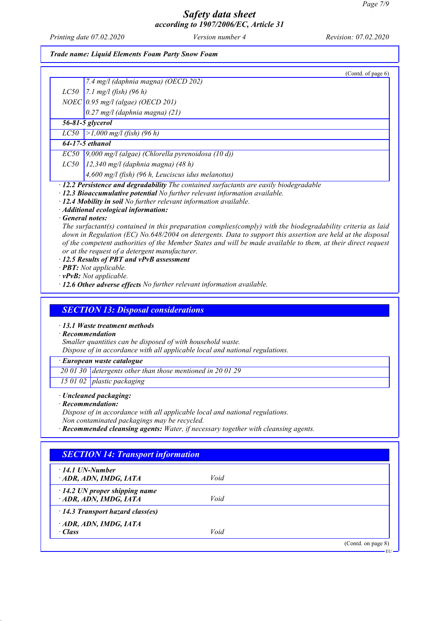EU

# *Safety data sheet according to 1907/2006/EC, Article 31*

*Printing date 07.02.2020 Version number 4 Revision: 07.02.2020*

## *Trade name: Liquid Elements Foam Party Snow Foam*

| (Contd. of page 6)                                                                                            |
|---------------------------------------------------------------------------------------------------------------|
| 7.4 mg/l (daphnia magna) (OECD 202)                                                                           |
| $LC50$   7.1 mg/l (fish) (96 h)                                                                               |
| $NOEC$ 0.95 mg/l (algae) (OECD 201)                                                                           |
| $0.27$ mg/l (daphnia magna) (21)                                                                              |
| 56-81-5 glycerol                                                                                              |
| $LC50$  >1,000 mg/l (fish) (96 h)                                                                             |
| $64-17-5$ ethanol                                                                                             |
| EC50 9,000 mg/l (algae) (Chlorella pyrenoidosa (10 d))                                                        |
| LC50   12,340 mg/l (daphnia magna) (48 h)                                                                     |
| $4,600$ mg/l (fish) (96 h, Leuciscus idus melanotus)                                                          |
| $\cdot$ 12.2 Persistence and degradability The contained surfactants are easily biodegradable                 |
| · 12.3 Bioaccumulative potential No further relevant information available.                                   |
| · 12.4 Mobility in soil No further relevant information available.                                            |
| · Additional ecological information:                                                                          |
| · General notes:                                                                                              |
| The surfactant(s) contained in this preparation complies(comply) with the biodegradability criteria as laid   |
| down in Regulation (EC) No.648/2004 on detergents. Data to support this assertion are held at the disposal    |
| of the competent authorities of the Member States and will be made available to them, at their direct request |
| or at the request of a detergent manufacturer.                                                                |
| · 12.5 Results of PBT and vPvB assessment                                                                     |
| $\cdot$ <b>PBT:</b> Not applicable.                                                                           |
| $\cdot$ vPvB: Not applicable.                                                                                 |
| $\cdot$ 12.6 Other adverse effects No further relevant information available.                                 |
|                                                                                                               |
| <b>SECTION 13: Disposal considerations</b>                                                                    |
| · 13.1 Waste treatment methods                                                                                |
| · Recommendation                                                                                              |
| Smaller quantities can be disposed of with household waste.                                                   |
| Dispose of in accordance with all applicable local and national regulations.                                  |
| · European waste catalogue                                                                                    |
|                                                                                                               |
|                                                                                                               |
| $200130$ detergents other than those mentioned in 200129<br>15 01 02 plastic packaging                        |

#### *· Uncleaned packaging:*

- *· Recommendation:*
- *Dispose of in accordance with all applicable local and national regulations.*

*Non contaminated packagings may be recycled.*

*· Recommended cleansing agents: Water, if necessary together with cleansing agents.*

# *SECTION 14: Transport information*

| $\cdot$ 14.1 UN-Number<br>ADR, ADN, IMDG, IATA               | Void |                    |
|--------------------------------------------------------------|------|--------------------|
| $\cdot$ 14.2 UN proper shipping name<br>ADR, ADN, IMDG, IATA | Void |                    |
| $\cdot$ 14.3 Transport hazard class(es)                      |      |                    |
| ADR, ADN, IMDG, IATA                                         |      |                    |
| $\cdot$ Class                                                | Void |                    |
|                                                              |      | (Contd. on page 8) |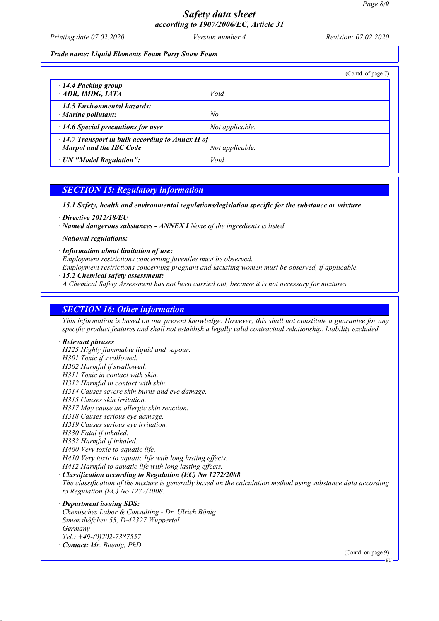*Printing date 07.02.2020 Version number 4 Revision: 07.02.2020*

#### *Trade name: Liquid Elements Foam Party Snow Foam*

|                                                                                                              | (Contd. of page 7) |  |  |
|--------------------------------------------------------------------------------------------------------------|--------------------|--|--|
| $\cdot$ 14.4 Packing group<br>ADR, IMDG, IATA                                                                | Void               |  |  |
| $\cdot$ 14.5 Environmental hazards:<br>$\cdot$ Marine pollutant:                                             | No                 |  |  |
| $\cdot$ 14.6 Special precautions for user                                                                    | Not applicable.    |  |  |
| $\cdot$ 14.7 Transport in bulk according to Annex II of<br><b>Marpol and the IBC Code</b><br>Not applicable. |                    |  |  |
| · UN "Model Regulation":                                                                                     | Void               |  |  |

### *SECTION 15: Regulatory information*

*· 15.1 Safety, health and environmental regulations/legislation specific for the substance or mixture*

*· Directive 2012/18/EU*

*· Named dangerous substances - ANNEX I None of the ingredients is listed.*

*· National regulations:*

*· Information about limitation of use:*

*Employment restrictions concerning juveniles must be observed.*

*Employment restrictions concerning pregnant and lactating women must be observed, if applicable.*

*· 15.2 Chemical safety assessment:*

*A Chemical Safety Assessment has not been carried out, because it is not necessary for mixtures.*

## *SECTION 16: Other information*

*This information is based on our present knowledge. However, this shall not constitute a guarantee for any specific product features and shall not establish a legally valid contractual relationship. Liability excluded.*

*· Relevant phrases H225 Highly flammable liquid and vapour. H301 Toxic if swallowed. H302 Harmful if swallowed. H311 Toxic in contact with skin. H312 Harmful in contact with skin. H314 Causes severe skin burns and eye damage. H315 Causes skin irritation. H317 May cause an allergic skin reaction. H318 Causes serious eye damage. H319 Causes serious eye irritation. H330 Fatal if inhaled. H332 Harmful if inhaled. H400 Very toxic to aquatic life. H410 Very toxic to aquatic life with long lasting effects. H412 Harmful to aquatic life with long lasting effects. · Classification according to Regulation (EC) No 1272/2008 The classification of the mixture is generally based on the calculation method using substance data according to Regulation (EC) No 1272/2008. · Department issuing SDS: Chemisches Labor & Consulting - Dr. Ulrich Bönig Simonshöfchen 55, D-42327 Wuppertal Germany Tel.: +49-(0)202-7387557 · Contact: Mr. Boenig, PhD.*

(Contd. on page 9)

EU